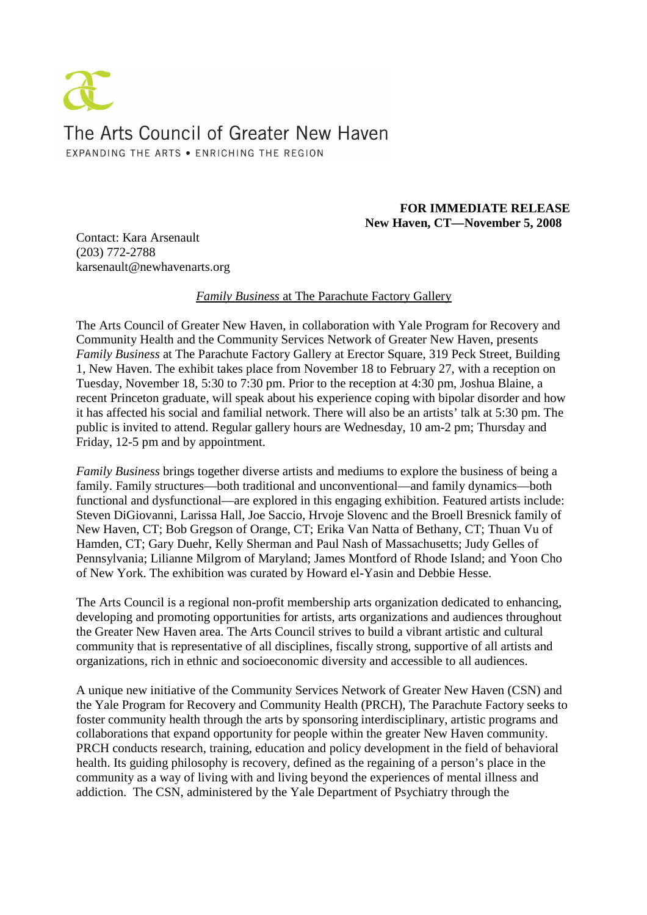

## **FOR IMMEDIATE RELEASE New Haven, CT—November 5, 2008**

Contact: Kara Arsenault (203) 772-2788 karsenault@newhavenarts.org

*Family Business* at The Parachute Factory Gallery

The Arts Council of Greater New Haven, in collaboration with Yale Program for Recovery and Community Health and the Community Services Network of Greater New Haven, presents *Family Business* at The Parachute Factory Gallery at Erector Square, 319 Peck Street, Building 1, New Haven. The exhibit takes place from November 18 to February 27, with a reception on Tuesday, November 18, 5:30 to 7:30 pm. Prior to the reception at 4:30 pm, Joshua Blaine, a recent Princeton graduate, will speak about his experience coping with bipolar disorder and how it has affected his social and familial network. There will also be an artists' talk at 5:30 pm. The public is invited to attend. Regular gallery hours are Wednesday, 10 am-2 pm; Thursday and Friday, 12-5 pm and by appointment.

*Family Business* brings together diverse artists and mediums to explore the business of being a family. Family structures—both traditional and unconventional—and family dynamics—both functional and dysfunctional—are explored in this engaging exhibition. Featured artists include: Steven DiGiovanni, Larissa Hall, Joe Saccio, Hrvoje Slovenc and the Broell Bresnick family of New Haven, CT; Bob Gregson of Orange, CT; Erika Van Natta of Bethany, CT; Thuan Vu of Hamden, CT; Gary Duehr, Kelly Sherman and Paul Nash of Massachusetts; Judy Gelles of Pennsylvania; Lilianne Milgrom of Maryland; James Montford of Rhode Island; and Yoon Cho of New York. The exhibition was curated by Howard el-Yasin and Debbie Hesse.

The Arts Council is a regional non-profit membership arts organization dedicated to enhancing, developing and promoting opportunities for artists, arts organizations and audiences throughout the Greater New Haven area. The Arts Council strives to build a vibrant artistic and cultural community that is representative of all disciplines, fiscally strong, supportive of all artists and organizations, rich in ethnic and socioeconomic diversity and accessible to all audiences.

A unique new initiative of the Community Services Network of Greater New Haven (CSN) and the Yale Program for Recovery and Community Health (PRCH), The Parachute Factory seeks to foster community health through the arts by sponsoring interdisciplinary, artistic programs and collaborations that expand opportunity for people within the greater New Haven community. PRCH conducts research, training, education and policy development in the field of behavioral health. Its guiding philosophy is recovery, defined as the regaining of a person's place in the community as a way of living with and living beyond the experiences of mental illness and addiction. The CSN, administered by the Yale Department of Psychiatry through the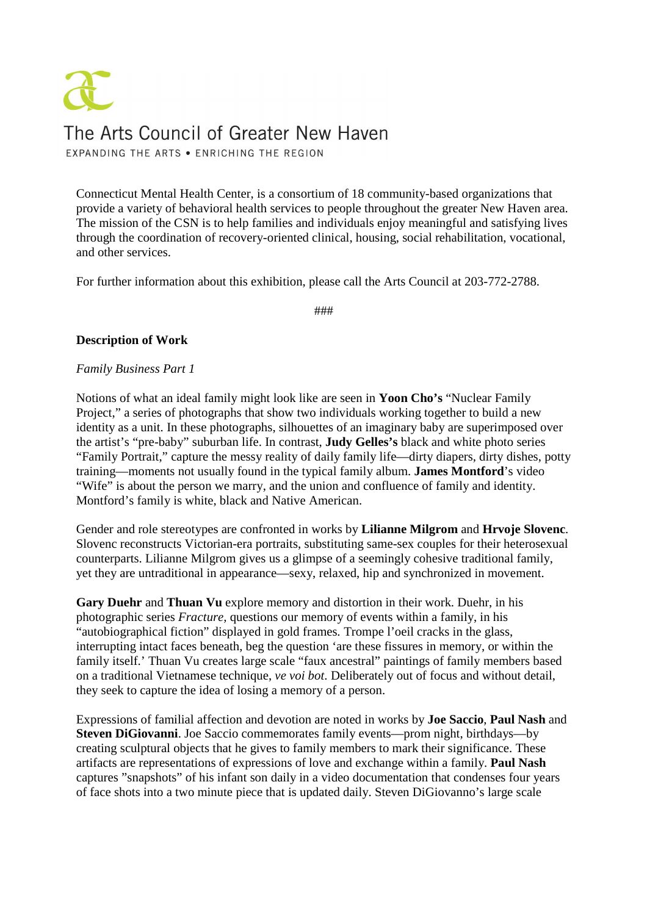# The Arts Council of Greater New Haven EXPANDING THE ARTS . ENRICHING THE REGION

Connecticut Mental Health Center, is a consortium of 18 community-based organizations that provide a variety of behavioral health services to people throughout the greater New Haven area. The mission of the CSN is to help families and individuals enjoy meaningful and satisfying lives through the coordination of recovery-oriented clinical, housing, social rehabilitation, vocational, and other services.

For further information about this exhibition, please call the Arts Council at 203-772-2788.

###

### **Description of Work**

#### *Family Business Part 1*

Notions of what an ideal family might look like are seen in **Yoon Cho's** "Nuclear Family Project," a series of photographs that show two individuals working together to build a new identity as a unit. In these photographs, silhouettes of an imaginary baby are superimposed over the artist's "pre-baby" suburban life. In contrast, **Judy Gelles's** black and white photo series "Family Portrait," capture the messy reality of daily family life—dirty diapers, dirty dishes, potty training—moments not usually found in the typical family album. **James Montford**'s video "Wife" is about the person we marry, and the union and confluence of family and identity. Montford's family is white, black and Native American.

Gender and role stereotypes are confronted in works by **Lilianne Milgrom** and **Hrvoje Slovenc**. Slovenc reconstructs Victorian-era portraits, substituting same-sex couples for their heterosexual counterparts. Lilianne Milgrom gives us a glimpse of a seemingly cohesive traditional family, yet they are untraditional in appearance—sexy, relaxed, hip and synchronized in movement.

**Gary Duehr** and **Thuan Vu** explore memory and distortion in their work. Duehr, in his photographic series *Fracture,* questions our memory of events within a family, in his "autobiographical fiction" displayed in gold frames*.* Trompe l'oeil cracks in the glass, interrupting intact faces beneath, beg the question 'are these fissures in memory, or within the family itself.' Thuan Vu creates large scale "faux ancestral" paintings of family members based on a traditional Vietnamese technique, *ve voi bot*. Deliberately out of focus and without detail, they seek to capture the idea of losing a memory of a person.

Expressions of familial affection and devotion are noted in works by **Joe Saccio**, **Paul Nash** and **Steven DiGiovanni**. Joe Saccio commemorates family events—prom night, birthdays—by creating sculptural objects that he gives to family members to mark their significance. These artifacts are representations of expressions of love and exchange within a family. **Paul Nash** captures "snapshots" of his infant son daily in a video documentation that condenses four years of face shots into a two minute piece that is updated daily. Steven DiGiovanno's large scale